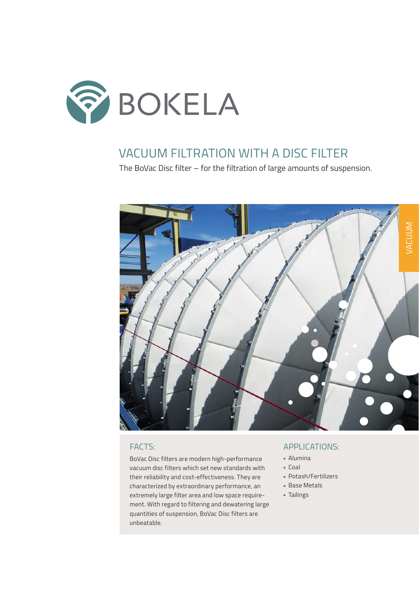

## VACUUM FILTRATION WITH A DISC FILTER

The BoVac Disc filter – for the filtration of large amounts of suspension.



BoVac Disc filters are modern high-performance vacuum disc filters which set new standards with their reliability and cost-effectiveness. They are characterized by extraordinary performance, an extremely large filter area and low space requirement. With regard to filtering and dewatering large quantities of suspension, BoVac Disc filters are unbeatable.

### FACTS: APPLICATIONS:

- Alumina
- $\bullet$  Coal
- Potash/Fertilizers
- Base Metals
- Tailings